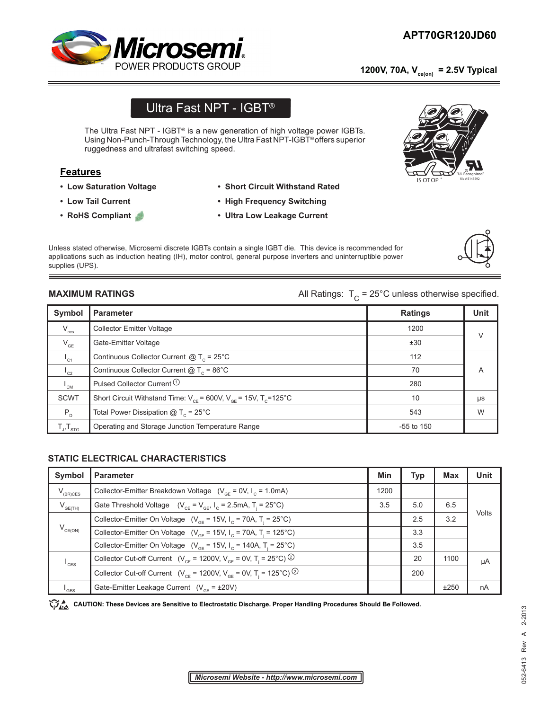## **APT70GR120JD60 APT70GR120JD60**

 **1200V, 70A, Vce(on) = 2.5V Typical**



## Ultra Fast NPT - IGBT®

The Ultra Fast NPT - IGBT® is a new generation of high voltage power IGBTs. Using Non-Punch-Through Technology, the Ultra Fast NPT-IGBT® offers superior ruggedness and ultrafast switching speed.

#### **Features**

- **Low Saturation Voltage**
- **Low Tail Current**
- **RoHS Compliant**
- **Short Circuit Withstand Rated**
- **High Frequency Switching**
- **Ultra Low Leakage Current**

Unless stated otherwise, Microsemi discrete IGBTs contain a single IGBT die. This device is recommended for applications such as induction heating (IH), motor control, general purpose inverters and uninterruptible power supplies (UPS).

**MAXIMUM RATINGS All Ratings:**  $T_c = 25^\circ \text{C}$  unless otherwise specified.

| Symbol                     | <b>Parameter</b>                                                              | <b>Ratings</b> | <b>Unit</b> |
|----------------------------|-------------------------------------------------------------------------------|----------------|-------------|
| $V_{\text{ces}}$           | <b>Collector Emitter Voltage</b>                                              | 1200           | V           |
| $V_{GE}$                   | Gate-Emitter Voltage                                                          | ±30            |             |
| $I_{c1}$                   | Continuous Collector Current $@T_c = 25^{\circ}C$                             | 112            |             |
| $\mathsf{I}_{c2}$          | Continuous Collector Current $@T_c = 86^\circ C$                              | 70             | A           |
| $\mathsf{L}_{\mathsf{CM}}$ | Pulsed Collector Current <sup>1</sup>                                         | 280            |             |
| SCWT                       | Short Circuit Withstand Time: $V_{CF}$ = 600V, $V_{GF}$ = 15V, $T_{C}$ =125°C | 10             | μs          |
| $P_{D}$                    | Total Power Dissipation $@T_c = 25^{\circ}C$                                  | 543            | W           |
| $T_{J}$ , $T_{STG}$        | Operating and Storage Junction Temperature Range                              | $-55$ to 150   |             |

#### **STATIC ELECTRICAL CHARACTERISTICS**

| Symbol              | <b>Parameter</b>                                                                                    | Min  | <b>Typ</b> | <b>Max</b> | <b>Unit</b> |
|---------------------|-----------------------------------------------------------------------------------------------------|------|------------|------------|-------------|
| $V_{(BR)CES}$       | Collector-Emitter Breakdown Voltage $(V_{CF} = 0V, I_C = 1.0mA)$                                    | 1200 |            |            |             |
| $V_{GE(TH)}$        | Gate Threshold Voltage $(V_{CF} = V_{GF}, I_{C} = 2.5 \text{mA}, T_{i} = 25^{\circ}\text{C})$       | 3.5  | 5.0        | 6.5        |             |
| $V_{CE(ON)}$        | Collector-Emitter On Voltage ( $V_{GF}$ = 15V, I <sub>c</sub> = 70A, T <sub>i</sub> = 25°C)         |      | 2.5        | 3.2        | Volts       |
|                     | Collector-Emitter On Voltage ( $V_{GF}$ = 15V, I <sub>c</sub> = 70A, T <sub>i</sub> = 125°C)        |      | 3.3        |            |             |
|                     | Collector-Emitter On Voltage ( $V_{\text{CF}}$ = 15V, $I_{\text{C}}$ = 140A, T <sub>i</sub> = 25°C) |      | 3.5        |            |             |
| $I_{\text{CES}}$    | Collector Cut-off Current ( $V_{CF}$ = 1200V, $V_{GF}$ = 0V, T <sub>i</sub> = 25°C) <sup>②</sup>    |      | 20         | 1100       | μA          |
|                     | Collector Cut-off Current ( $V_{CF}$ = 1200V, $V_{GF}$ = 0V, T <sub>i</sub> = 125°C) <sup>②</sup>   |      | 200        |            |             |
| $^{\mathsf{I}}$ GES | Gate-Emitter Leakage Current $(V_{CF} = \pm 20V)$                                                   |      |            | ±250       | nA          |

CAUTION: These Devices are Sensitive to Electrostatic Discharge. Proper Handling Procedures Should Be Followed.





"UL Recognized"

# $\overline{\preccurlyeq}_{\mathcal{N}} \mathcal{V}^1$

**IS OT OF** 

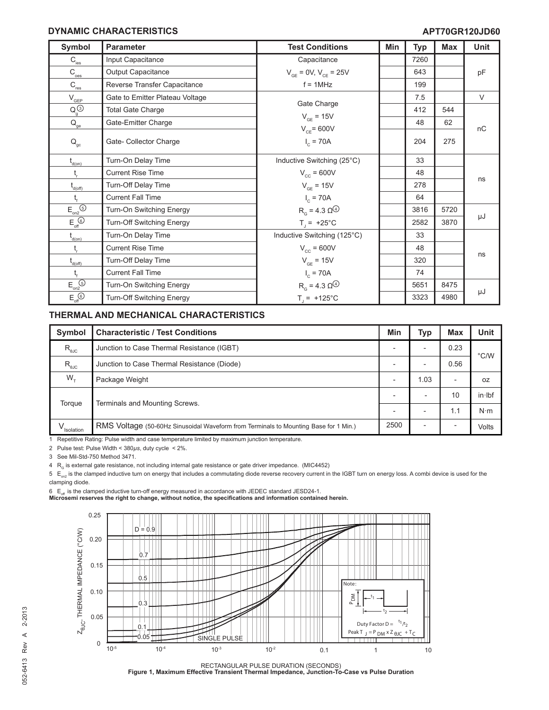#### **DYNAMIC CHARACTERISTICS**

| Symbol                                                           | <b>Parameter</b>                | <b>Test Conditions</b>                              | Min | <b>Typ</b> | <b>Max</b> | Unit   |
|------------------------------------------------------------------|---------------------------------|-----------------------------------------------------|-----|------------|------------|--------|
| $C_{\text{ies}}$                                                 | Input Capacitance               | Capacitance                                         |     | 7260       |            |        |
| $\mathsf{C}_\underline{\text{oes}}$                              | Output Capacitance              | $V_{GE} = 0V, V_{CE} = 25V$                         |     | 643        |            | pF     |
| $\mathsf{C}_{\textsf{res}}$                                      | Reverse Transfer Capacitance    | $f = 1$ MHz                                         |     | 199        |            |        |
| $V_{\text{GEP}}$                                                 | Gate to Emitter Plateau Voltage |                                                     |     | 7.5        |            | $\vee$ |
| $Q_q^{(3)}$                                                      | <b>Total Gate Charge</b>        | Gate Charge                                         |     | 412        | 544        |        |
| $\mathsf{Q}_\mathrm{ge}$                                         | Gate-Emitter Charge             | $V_{GF} = 15V$                                      |     | 48         | 62         |        |
| $\mathsf{Q}_\mathrm{gc}$                                         | Gate- Collector Charge          | $V_{CF}$ = 600V<br>$I_c = 70A$                      |     | 204        | 275        | nC     |
| $t_{\text{\tiny{d(0n)}}}$                                        | Turn-On Delay Time              | Inductive Switching (25°C)                          |     | 33         |            |        |
| $t_{\rm r}$                                                      | <b>Current Rise Time</b>        | $V_{cc}$ = 600V                                     |     | 48         |            |        |
| $t_{d(off)}$                                                     | Turn-Off Delay Time             | $V_{GE}$ = 15V                                      |     | 278        |            | ns     |
| $t_{\rm f}$                                                      | <b>Current Fall Time</b>        | $I_c = 70A$                                         |     | 64         |            |        |
| $E_{on2}$ <sup> <sub> sm2</sub></sup>                            | Turn-On Switching Energy        | $R_{\alpha}$ = 4.3 $\Omega^{\textcircled{\tiny 4}}$ |     | 3816       | 5720       |        |
| $E_{\text{off}}$                                                 | Turn-Off Switching Energy       | $T_1 = +25^{\circ}C$                                |     | 2582       | 3870       | μJ     |
| $\mathfrak{t}_{\scriptscriptstyle{\mathsf{d}(\mathsf{on})}}$     | Turn-On Delay Time              | Inductive Switching (125°C)                         |     | 33         |            |        |
| $t_{\rm r}$                                                      | <b>Current Rise Time</b>        | $V_{cc}$ = 600V                                     |     | 48         |            |        |
| $t_{d(off)}$                                                     | Turn-Off Delay Time             | $V_{GE}$ = 15V                                      |     | 320        |            | ns     |
| $t_{\rm f}$                                                      | <b>Current Fall Time</b>        | $I_c = 70A$                                         |     | 74         |            |        |
| $E_{on2}$                                                        | Turn-On Switching Energy        | $R_{G} = 4.3 \Omega^{(4)}$                          |     | 5651       | 8475       |        |
| $E_{\text{off}}^{\textcircled{\tiny{\textcircled{\tiny \dag}}}}$ | Turn-Off Switching Energy       | $T_{1}$ = +125°C                                    |     | 3323       | 4980       | μJ     |

#### **THERMAL AND MECHANICAL CHARACTERISTICS**

| Symbol                                             | <b>Characteristic / Test Conditions</b>                                              | Min                      | Typ                      | <b>Max</b>               | Unit          |  |
|----------------------------------------------------|--------------------------------------------------------------------------------------|--------------------------|--------------------------|--------------------------|---------------|--|
| $R_{\text{euc}}$                                   | Junction to Case Thermal Resistance (IGBT)                                           |                          | $\overline{\phantom{0}}$ | 0.23                     | $\degree$ C/W |  |
| $\mathsf{R}_{\scriptscriptstyle{\theta\text{JC}}}$ | Junction to Case Thermal Resistance (Diode)                                          | $\overline{\phantom{0}}$ | $\overline{\phantom{0}}$ | 0.56                     |               |  |
| $W_{\tau}$                                         | Package Weight                                                                       |                          | 1.03                     | $\overline{\phantom{a}}$ | 0Z            |  |
| Torque                                             | Terminals and Mounting Screws.                                                       |                          | -                        | 10                       | in·lbf        |  |
|                                                    |                                                                                      |                          | $\overline{\phantom{0}}$ | 1.1                      | $N \cdot m$   |  |
| Isolation                                          | RMS Voltage (50-60Hz Sinusoidal Waveform from Terminals to Mounting Base for 1 Min.) | 2500                     | $\overline{\phantom{0}}$ |                          | Volts         |  |

1 Repetitive Rating: Pulse width and case temperature limited by maximum junction temperature.

2 Pulse test: Pulse Width < 380*µs*, duty cycle < 2%.

3 See Mil-Std-750 Method 3471.

 $4$  R<sub>G</sub> is external gate resistance, not including internal gate resistance or gate driver impedance. (MIC4452)

 $5 E_{on2}$  is the clamped inductive turn on energy that includes a commutating diode reverse recovery current in the IGBT turn on energy loss. A combi device is used for the clamping diode.

6  $\,$  E<sub>off</sub> is the clamped inductive turn-off energy measured in accordance with JEDEC standard JESD24-1.<br>**Microsemi reserves the right to change, without notice, the specifications and information contained herein.** 



RECTANGULAR PULSE DURATION (SECONDS) **Figure 1, Maximum Effective Transient Thermal Impedance, Junction-To-Case vs Pulse Duration**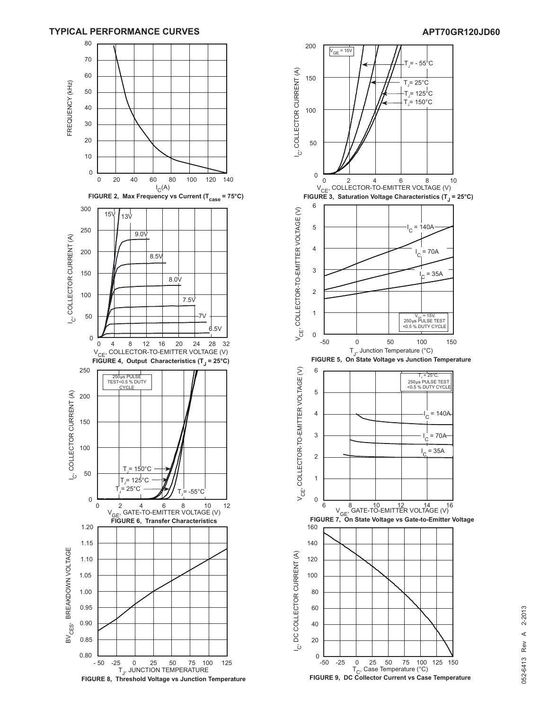#### **TYPICAL PERFORMANCE CURVES APT70GR120JD60**



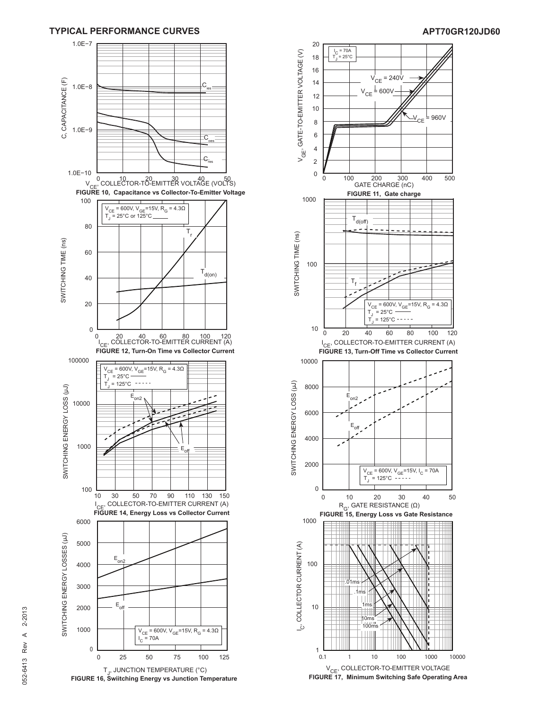

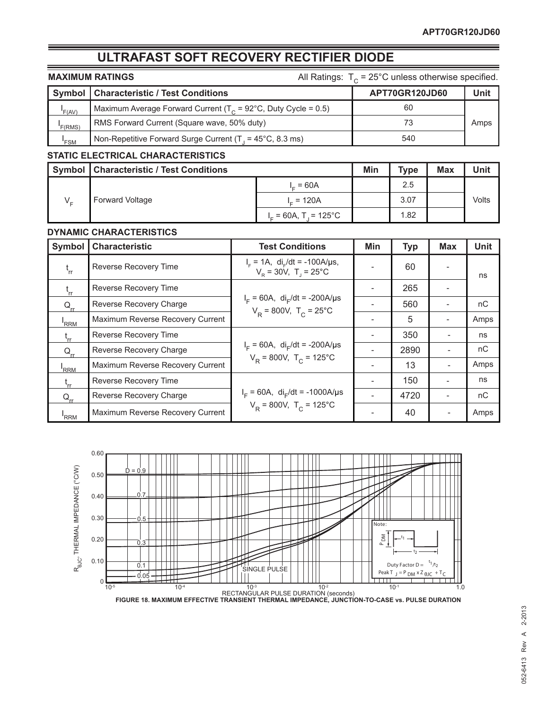### **ULTRAFAST SOFT RECOVERY RECTIFIER DIODE**

| <b>MAXIMUM RATINGS</b> |                                                                    | All Ratings: $T_c = 25^{\circ}$ C unless otherwise specified. |      |  |  |
|------------------------|--------------------------------------------------------------------|---------------------------------------------------------------|------|--|--|
|                        | <b>Symbol   Characteristic / Test Conditions</b><br>APT70GR120JD60 |                                                               |      |  |  |
| F(AV)                  | Maximum Average Forward Current ( $T_c$ = 92°C, Duty Cycle = 0.5)  | 60                                                            |      |  |  |
| F(RMS)                 | RMS Forward Current (Square wave, 50% duty)                        | 73                                                            | Amps |  |  |
| 'FSM                   | Non-Repetitive Forward Surge Current ( $T_1$ = 45°C, 8.3 ms)       | 540                                                           |      |  |  |

#### **STATIC ELECTRICAL CHARACTERISTICS**

|  | Symbol   Characteristic / Test Conditions |                          | Min | <b>Type</b> | <b>Max</b> | Unit  |
|--|-------------------------------------------|--------------------------|-----|-------------|------------|-------|
|  | <b>Forward Voltage</b>                    | $= 60A$                  |     | 2.5         |            |       |
|  |                                           | $L = 120A$               |     | 3.07        |            | Volts |
|  |                                           | $I_{r}$ = 60A, T = 125°C |     | 1.82        |            |       |

#### **DYNAMIC CHARACTERISTICS**

| Symbol           | <b>Characteristic</b>            | <b>Test Conditions</b>                                                                    | Min | <b>Typ</b> | <b>Max</b>               | Unit |
|------------------|----------------------------------|-------------------------------------------------------------------------------------------|-----|------------|--------------------------|------|
| $t_{rr}$         | Reverse Recovery Time            | $I_F = 1A$ , di <sub>r</sub> /dt = -100A/us,<br>$V_p = 30V$ , T <sub>1</sub> = 25°C       |     | 60         |                          | ns   |
| $t_{rr}$         | Reverse Recovery Time            |                                                                                           |     | 265        |                          |      |
| $Q_{rr}$         | Reverse Recovery Charge          | $I_F = 60A$ , di <sub>F</sub> /dt = -200A/µs<br>$V_{\rm p}$ = 800V, T <sub>c</sub> = 25°C |     | 560        |                          | nC   |
| <sup>I</sup> RRM | Maximum Reverse Recovery Current |                                                                                           |     | 5          |                          | Amps |
|                  | Reverse Recovery Time            |                                                                                           |     | 350        | $\overline{\phantom{a}}$ | ns   |
| $Q_{rr}$         | Reverse Recovery Charge          | $I_F = 60A$ , di <sub>F</sub> /dt = -200A/µs                                              |     | 2890       | $\overline{\phantom{a}}$ | nC   |
| RRM <sup>'</sup> | Maximum Reverse Recovery Current | $V_R = 800V$ , T <sub>c</sub> = 125°C                                                     |     | 13         | $\overline{\phantom{0}}$ | Amps |
| $t_{rr}$         | Reverse Recovery Time            | $I_F = 60A$ , di <sub>F</sub> /dt = -1000A/µs<br>$V_R = 800V$ , T <sub>c</sub> = 125°C    |     | 150        |                          | ns   |
| $Q_{rr}$         | Reverse Recovery Charge          |                                                                                           |     | 4720       |                          | nC   |
| 'RRM             | Maximum Reverse Recovery Current |                                                                                           |     | 40         |                          | Amps |

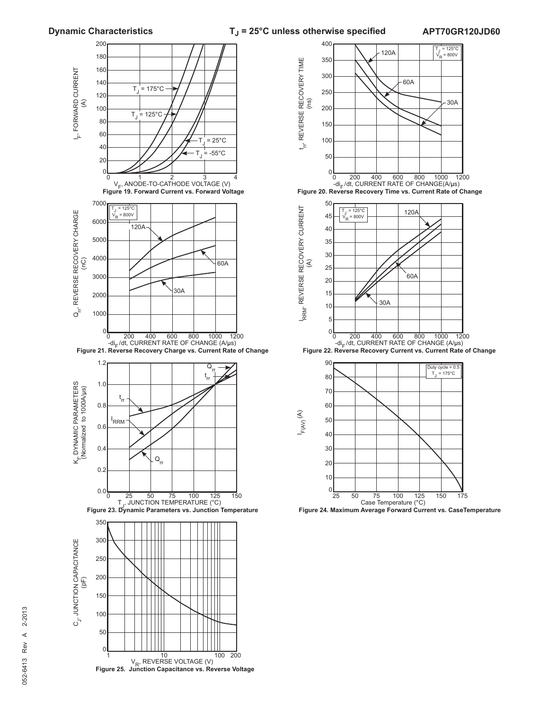**Dynamic Characteristics T**<sub>J</sub> = 25°C unless otherwise specified

**APT70GR120JD60**





 **Figure 23. Dynamic Parameters vs. Junction Temperature Figure 24. Maximum Average Forward Current vs. CaseTemperature**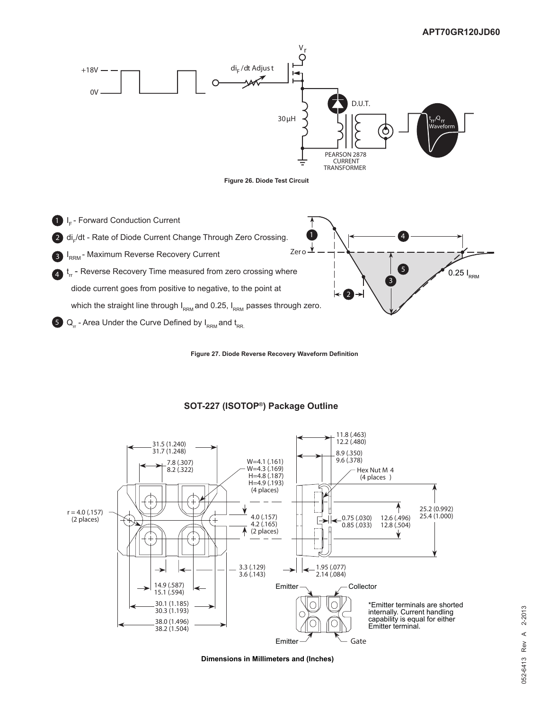

**Figure 27. Diode Reverse Recovery Waveform Definition**



#### **SOT-227 (ISOTOP®) Package Outline**

**Dimensions in Millimeters and (Inches)**